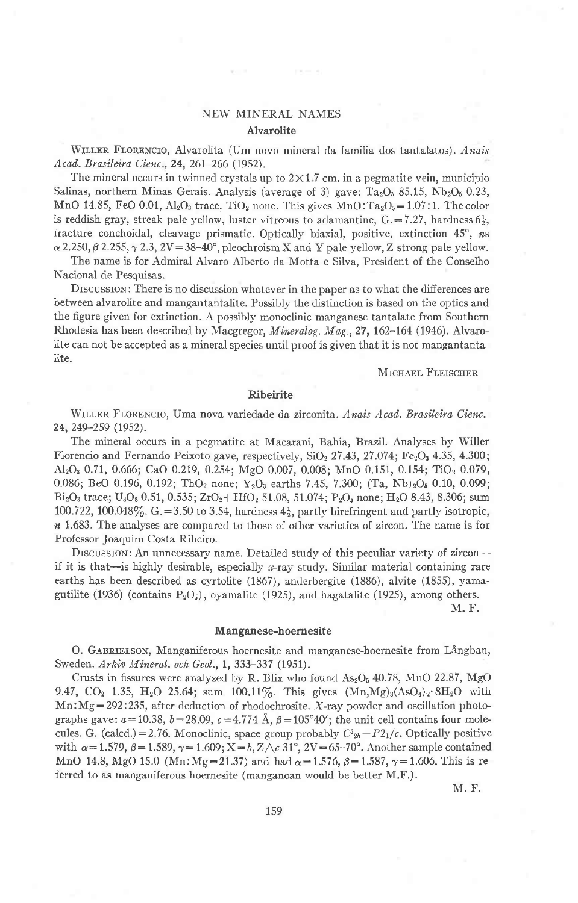# NEW MINERAI. NAMES Alvarolite

WILLER FLORENCIO, Alvarolita (Um novo mineral da familia dos tantalatos). Anais Acad. Brasileira Cienc., 24, 261-266 (1952).

The mineral occurs in twinned crystals up to  $2 \times 1.7$  cm. in a pegmatite vein, municipio Salinas, northern Minas Gerais. Analysis (average of 3) gave:  $Ta_2O_3$  85.15, Nb<sub>2</sub>O<sub>6</sub> 0.23, MnO 14.85, FeO 0.01,  $Al_2O_3$  trace, TiO<sub>2</sub> none. This gives MnO: Ta<sub>2</sub>O<sub>5</sub>=1.07:1. The color is reddish gray, streak pale yellow, luster vitreous to adamantine,  $G = 7.27$ , hardness  $6\frac{1}{2}$ , fracture conchoidal, cleavage prismatic. Optically biaxial, positive, extinction  $45^\circ$ , ns  $\alpha$  2.250,  $\beta$  2.255,  $\gamma$  2.3, 2V = 38-40°, pleochroism X and Y pale yellow, Z strong pale yellow.

The name is for Admiral Alvaro Alberto da Motta e Silva, President of the Conselho Nacional de Pesquisas.

DISCUSSION: There is no discussion whatever in the paper as to what the differences are between alvarolite and mangantantalite. Possibly the distinction is based on the optics and the figure given lor extinction. A possibly monoclinic manganese tantalate from Southern Rhodesia has been described by Macgregor, Mineralog. Mag., 27, 162-164 (1946). Alvaro-Iite can not be accepted as a mineral species until proof is given that it is not mangantantalite.

#### MICHAEL FLEISCHER

# Ribeirite

WILLER FLORENCIO, Uma nova variedade da zirconita. Anais Acad. Brasileira Cienc. 24,249-259 (1952).

The mineral occurs in a pegmatite at Macarani, Bahia, Brazil. Analyses by Willer Florencio and Fernando Peixoto gave, respectively,  $SiO<sub>2</sub> 27.43$ ,  $27.074$ ;  $Fe<sub>2</sub>O<sub>3</sub> 4.35$ ,  $4.300$ ; Al<sub>2</sub>O<sub>3</sub> 0.71, 0.666; CaO 0.219, 0.254; MgO 0.007, 0.008; MnO 0.151, 0.154; TiO<sub>2</sub> 0.079, 0.086; BeO 0.196, 0.192; ThO<sub>2</sub> none; Y<sub>2</sub>O<sub>3</sub> earths 7.45, 7.300; (Ta, Nb)<sub>2</sub>O<sub>5</sub> 0.10, 0.099; Bi<sub>2</sub>O<sub>3</sub> trace; U<sub>3</sub>O<sub>8</sub> 0.51, 0.535; ZrO<sub>2</sub>+HfO<sub>2</sub> 51.08, 51.074; P<sub>2</sub>O<sub>5</sub> none; H<sub>2</sub>O 8.43, 8.306; sum 100.722, 100.048%. G. = 3.50 to 3.54, hardness  $4\frac{1}{2}$ , partly birefringent and partly isotropic,  $n$  1.683. The analyses are compared to those of other varieties of zircon. The name is for Professor Joaquim Costa Ribeiro.

DISCUSSION: An unnecessary name. Detailed study of this peculiar variety of zircon-if it is that-is highly desirable, especially  $x$ -ray study. Similar material containing rare earths has been described as cyrtolite (1867), anderbergite (1886), alvite (1855), yamagutilite (1936) (contains  $P_2O_5$ ), oyamalite (1925), and hagatalite (1925), among others.

M. F.

#### Manganese-hoernesite

O. GABRIELSON, Manganiferous hoernesite and manganese-hoernesite from Långban, Sweden. Arkiv Mineral. och Geol., 1, 333-337 (1951).

Crusts in fissures were analyzed by R. Blix who found  $As_2O_5$  40.78, MnO 22.87, MgO 9.47, CO<sub>2</sub> 1.35, H<sub>2</sub>O 25.64; sum 100.11%. This gives  $(Mn, Mg)_3(AsO_4)_2.8H_2O$  with  $Mn:Mg=292:235$ , after deduction of rhodochrosite. X-ray powder and oscillation photographs gave:  $a=10.38$ ,  $b=28.09$ ,  $c=4.774$  Å,  $\beta=105^{\circ}40'$ ; the unit cell contains four molecules. G. (calcd.)=2.76. Monoclinic, space group probably  $C_{2h}^5-P_{1h}/c$ . Optically positive with  $\alpha=1.579$ ,  $\beta=1.589$ ,  $\gamma=1.609$ ; X $\alpha=0.767$ ,  $2V=65-70^{\circ}$ . Another sample contained MnO 14.8, MgO 15.0 (Mn:Mg=21.37) and had  $\alpha$ =1.576,  $\beta$ =1.587,  $\gamma$ =1.606. This is referred to as manganiferous hoernesite (manganoan would be better M.F.).

M. F.